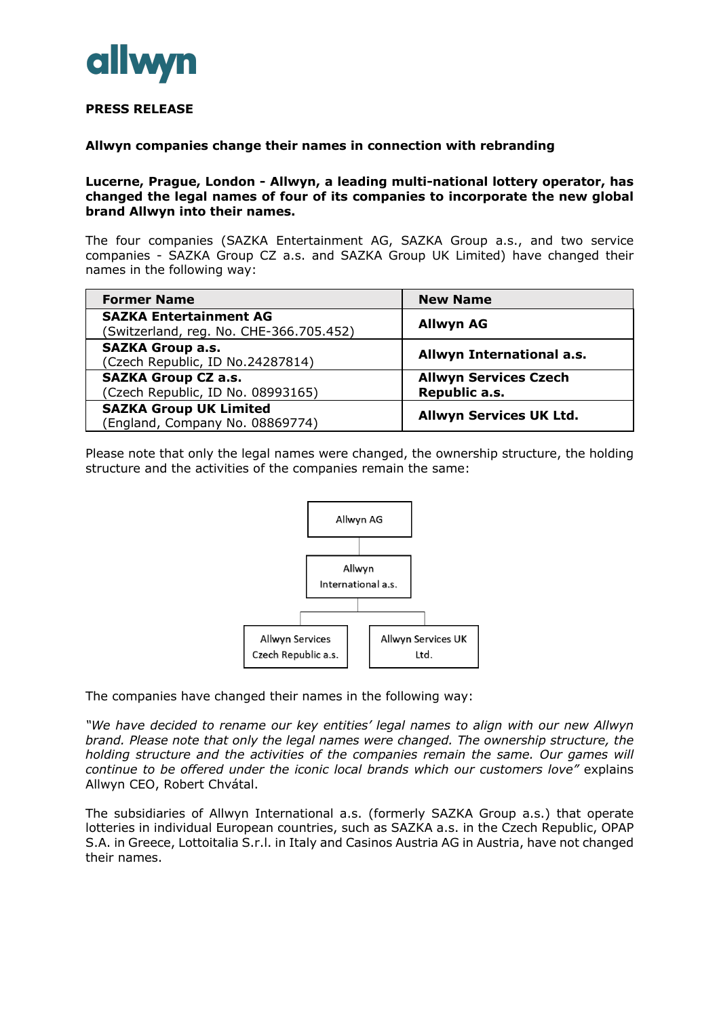

# **PRESS RELEASE**

#### **Allwyn companies change their names in connection with rebranding**

#### **Lucerne, Prague, London - Allwyn, a leading multi-national lottery operator, has changed the legal names of four of its companies to incorporate the new global brand Allwyn into their names.**

The four companies (SAZKA Entertainment AG, SAZKA Group a.s., and two service companies - SAZKA Group CZ a.s. and SAZKA Group UK Limited) have changed their names in the following way:

| <b>Former Name</b>                                                       | <b>New Name</b>                |
|--------------------------------------------------------------------------|--------------------------------|
| <b>SAZKA Entertainment AG</b><br>(Switzerland, reg. No. CHE-366.705.452) | <b>Allwyn AG</b>               |
| <b>SAZKA Group a.s.</b><br>(Czech Republic, ID No.24287814)              | Allwyn International a.s.      |
| <b>SAZKA Group CZ a.s.</b>                                               | <b>Allwyn Services Czech</b>   |
| (Czech Republic, ID No. 08993165)                                        | Republic a.s.                  |
| <b>SAZKA Group UK Limited</b>                                            | <b>Allwyn Services UK Ltd.</b> |
| (England, Company No. 08869774)                                          |                                |

Please note that only the legal names were changed, the ownership structure, the holding structure and the activities of the companies remain the same:



The companies have changed their names in the following way:

*"We have decided to rename our key entities' legal names to align with our new Allwyn brand. Please note that only the legal names were changed. The ownership structure, the holding structure and the activities of the companies remain the same. Our games will continue to be offered under the iconic local brands which our customers love"* explains Allwyn CEO, Robert Chvátal.

The subsidiaries of Allwyn International a.s. (formerly SAZKA Group a.s.) that operate lotteries in individual European countries, such as SAZKA a.s. in the Czech Republic, OPAP S.A. in Greece, Lottoitalia S.r.l. in Italy and Casinos Austria AG in Austria, have not changed their names.